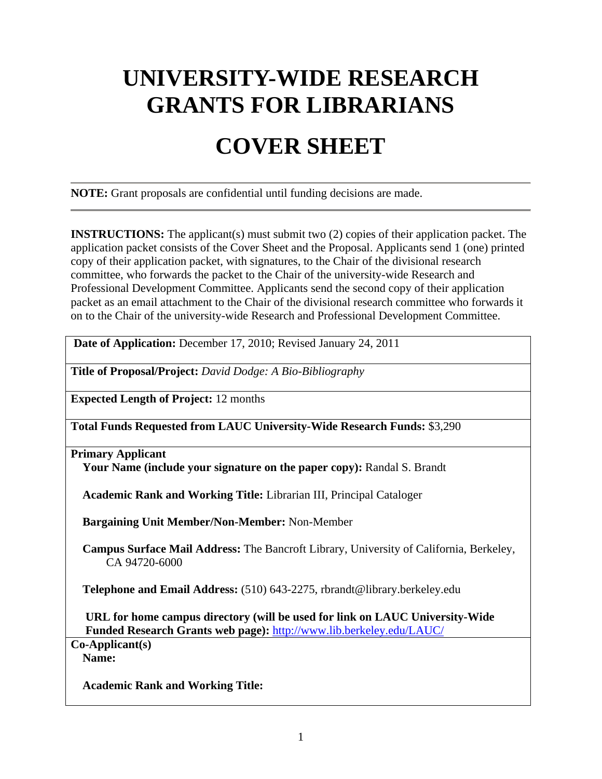# **UNIVERSITY-WIDE RESEARCH GRANTS FOR LIBRARIANS**

## **COVER SHEET**

**NOTE:** Grant proposals are confidential until funding decisions are made.

**INSTRUCTIONS:** The applicant(s) must submit two (2) copies of their application packet. The application packet consists of the Cover Sheet and the Proposal. Applicants send 1 (one) printed copy of their application packet, with signatures, to the Chair of the divisional research committee, who forwards the packet to the Chair of the university-wide Research and Professional Development Committee. Applicants send the second copy of their application packet as an email attachment to the Chair of the divisional research committee who forwards it on to the Chair of the university-wide Research and Professional Development Committee.

 **Date of Application:** December 17, 2010; Revised January 24, 2011

**Title of Proposal/Project:** *David Dodge: A Bio-Bibliography*

**Expected Length of Project:** 12 months

**Total Funds Requested from LAUC University-Wide Research Funds:** \$3,290

**Primary Applicant** 

**Your Name (include your signature on the paper copy): Randal S. Brandt** 

 **Academic Rank and Working Title:** Librarian III, Principal Cataloger

 **Bargaining Unit Member/Non-Member:** Non-Member

 **Campus Surface Mail Address:** The Bancroft Library, University of California, Berkeley, CA 94720-6000

 **Telephone and Email Address:** (510) 643-2275, rbrandt@library.berkeley.edu

 **URL for home campus directory (will be used for link on LAUC University-Wide Funded Research Grants web page):** http://www.lib.berkeley.edu/LAUC/

**Co-Applicant(s)** 

 **Name:** 

 **Academic Rank and Working Title:**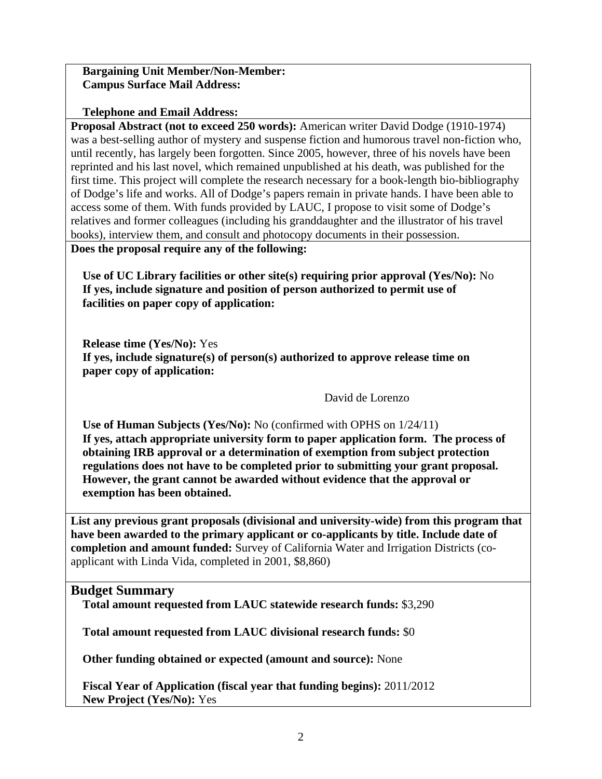#### **Bargaining Unit Member/Non-Member: Campus Surface Mail Address:**

#### **Telephone and Email Address:**

**Proposal Abstract (not to exceed 250 words):** American writer David Dodge (1910-1974) was a best-selling author of mystery and suspense fiction and humorous travel non-fiction who, until recently, has largely been forgotten. Since 2005, however, three of his novels have been reprinted and his last novel, which remained unpublished at his death, was published for the first time. This project will complete the research necessary for a book-length bio-bibliography of Dodge's life and works. All of Dodge's papers remain in private hands. I have been able to access some of them. With funds provided by LAUC, I propose to visit some of Dodge's relatives and former colleagues (including his granddaughter and the illustrator of his travel books), interview them, and consult and photocopy documents in their possession.

#### **Does the proposal require any of the following:**

 **Use of UC Library facilities or other site(s) requiring prior approval (Yes/No):** No  **If yes, include signature and position of person authorized to permit use of facilities on paper copy of application:** 

 **Release time (Yes/No):** Yes  **If yes, include signature(s) of person(s) authorized to approve release time on paper copy of application:** 

David de Lorenzo

 **Use of Human Subjects (Yes/No):** No (confirmed with OPHS on 1/24/11)  **If yes, attach appropriate university form to paper application form. The process of obtaining IRB approval or a determination of exemption from subject protection regulations does not have to be completed prior to submitting your grant proposal. However, the grant cannot be awarded without evidence that the approval or exemption has been obtained.** 

**List any previous grant proposals (divisional and university-wide) from this program that have been awarded to the primary applicant or co-applicants by title. Include date of completion and amount funded:** Survey of California Water and Irrigation Districts (coapplicant with Linda Vida, completed in 2001, \$8,860)

#### **Budget Summary**

 **Total amount requested from LAUC statewide research funds:** \$3,290

 **Total amount requested from LAUC divisional research funds:** \$0

 **Other funding obtained or expected (amount and source):** None

 **Fiscal Year of Application (fiscal year that funding begins):** 2011/2012  **New Project (Yes/No):** Yes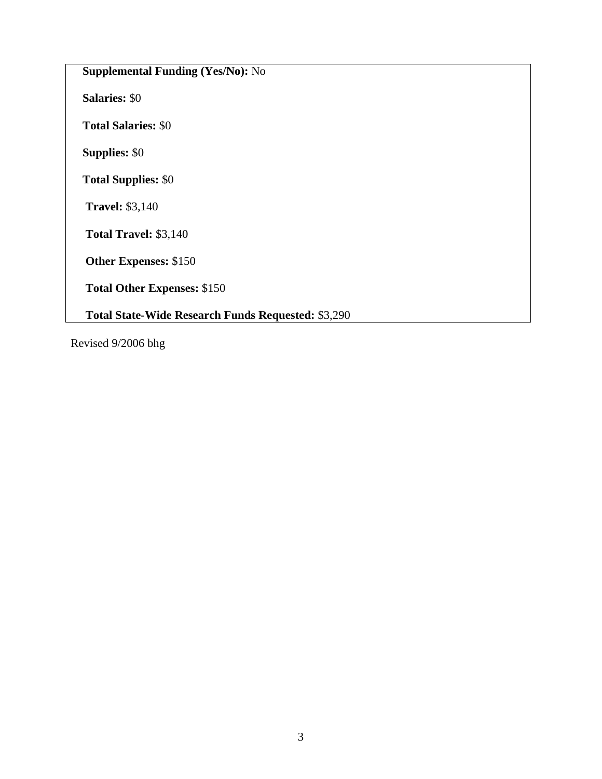**Supplemental Funding (Yes/No):** No  **Salaries:** \$0  **Total Salaries:** \$0  **Supplies:** \$0  **Total Supplies:** \$0  **Travel:** \$3,140  **Total Travel:** \$3,140  **Other Expenses:** \$150  **Total Other Expenses:** \$150  **Total State-Wide Research Funds Requested:** \$3,290

Revised 9/2006 bhg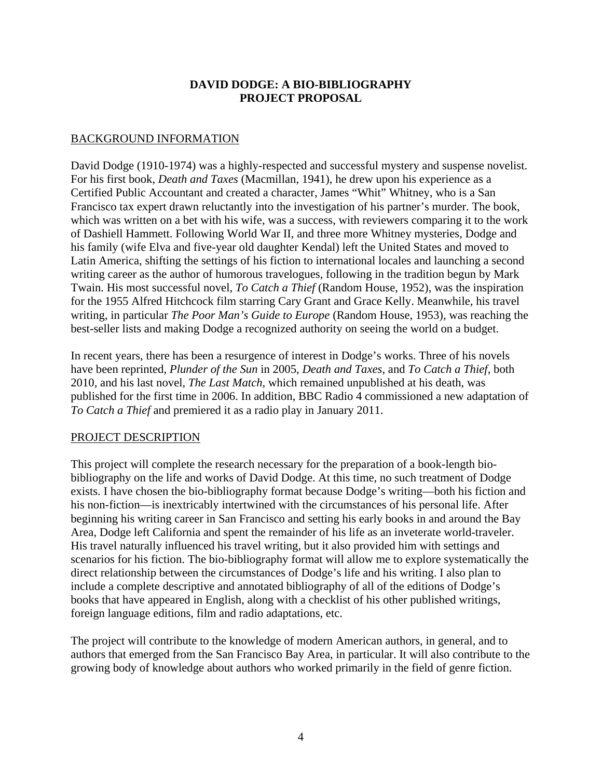#### **DAVID DODGE: A BIO-BIBLIOGRAPHY PROJECT PROPOSAL**

#### BACKGROUND INFORMATION

David Dodge (1910-1974) was a highly-respected and successful mystery and suspense novelist. For his first book, *Death and Taxes* (Macmillan, 1941), he drew upon his experience as a Certified Public Accountant and created a character, James "Whit" Whitney, who is a San Francisco tax expert drawn reluctantly into the investigation of his partner's murder. The book, which was written on a bet with his wife, was a success, with reviewers comparing it to the work of Dashiell Hammett. Following World War II, and three more Whitney mysteries, Dodge and his family (wife Elva and five-year old daughter Kendal) left the United States and moved to Latin America, shifting the settings of his fiction to international locales and launching a second writing career as the author of humorous travelogues, following in the tradition begun by Mark Twain. His most successful novel, *To Catch a Thief* (Random House, 1952), was the inspiration for the 1955 Alfred Hitchcock film starring Cary Grant and Grace Kelly. Meanwhile, his travel writing, in particular *The Poor Man's Guide to Europe* (Random House, 1953), was reaching the best-seller lists and making Dodge a recognized authority on seeing the world on a budget.

In recent years, there has been a resurgence of interest in Dodge's works. Three of his novels have been reprinted, *Plunder of the Sun* in 2005, *Death and Taxes*, and *To Catch a Thief*, both 2010, and his last novel, *The Last Match*, which remained unpublished at his death, was published for the first time in 2006. In addition, BBC Radio 4 commissioned a new adaptation of *To Catch a Thief* and premiered it as a radio play in January 2011.

#### PROJECT DESCRIPTION

This project will complete the research necessary for the preparation of a book-length biobibliography on the life and works of David Dodge. At this time, no such treatment of Dodge exists. I have chosen the bio-bibliography format because Dodge's writing—both his fiction and his non-fiction—is inextricably intertwined with the circumstances of his personal life. After beginning his writing career in San Francisco and setting his early books in and around the Bay Area, Dodge left California and spent the remainder of his life as an inveterate world-traveler. His travel naturally influenced his travel writing, but it also provided him with settings and scenarios for his fiction. The bio-bibliography format will allow me to explore systematically the direct relationship between the circumstances of Dodge's life and his writing. I also plan to include a complete descriptive and annotated bibliography of all of the editions of Dodge's books that have appeared in English, along with a checklist of his other published writings, foreign language editions, film and radio adaptations, etc.

The project will contribute to the knowledge of modern American authors, in general, and to authors that emerged from the San Francisco Bay Area, in particular. It will also contribute to the growing body of knowledge about authors who worked primarily in the field of genre fiction.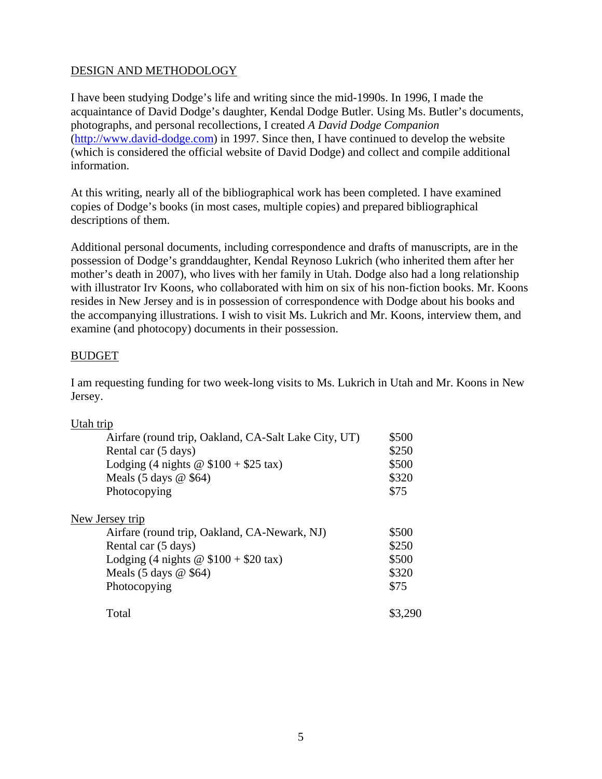#### DESIGN AND METHODOLOGY

I have been studying Dodge's life and writing since the mid-1990s. In 1996, I made the acquaintance of David Dodge's daughter, Kendal Dodge Butler. Using Ms. Butler's documents, photographs, and personal recollections, I created *A David Dodge Companion* (http://www.david-dodge.com) in 1997. Since then, I have continued to develop the website (which is considered the official website of David Dodge) and collect and compile additional information.

At this writing, nearly all of the bibliographical work has been completed. I have examined copies of Dodge's books (in most cases, multiple copies) and prepared bibliographical descriptions of them.

Additional personal documents, including correspondence and drafts of manuscripts, are in the possession of Dodge's granddaughter, Kendal Reynoso Lukrich (who inherited them after her mother's death in 2007), who lives with her family in Utah. Dodge also had a long relationship with illustrator Irv Koons, who collaborated with him on six of his non-fiction books. Mr. Koons resides in New Jersey and is in possession of correspondence with Dodge about his books and the accompanying illustrations. I wish to visit Ms. Lukrich and Mr. Koons, interview them, and examine (and photocopy) documents in their possession.

#### BUDGET

I am requesting funding for two week-long visits to Ms. Lukrich in Utah and Mr. Koons in New Jersey.

| Utah trip                                            |       |
|------------------------------------------------------|-------|
| Airfare (round trip, Oakland, CA-Salt Lake City, UT) | \$500 |
| Rental car (5 days)                                  | \$250 |
| Lodging (4 nights $@$100 + $25 \text{ tax}$ )        | \$500 |
| Meals $(5 \text{ days } @$ \$64)                     | \$320 |
| Photocopying                                         | \$75  |
| New Jersey trip                                      |       |
| Airfare (round trip, Oakland, CA-Newark, NJ)         | \$500 |
| Rental car (5 days)                                  | \$250 |
| Lodging (4 nights $\omega$ \$100 + \$20 tax)         | \$500 |
| Meals $(5 \text{ days } @$ \$64)                     | \$320 |
| Photocopying                                         | \$75  |
| Total                                                |       |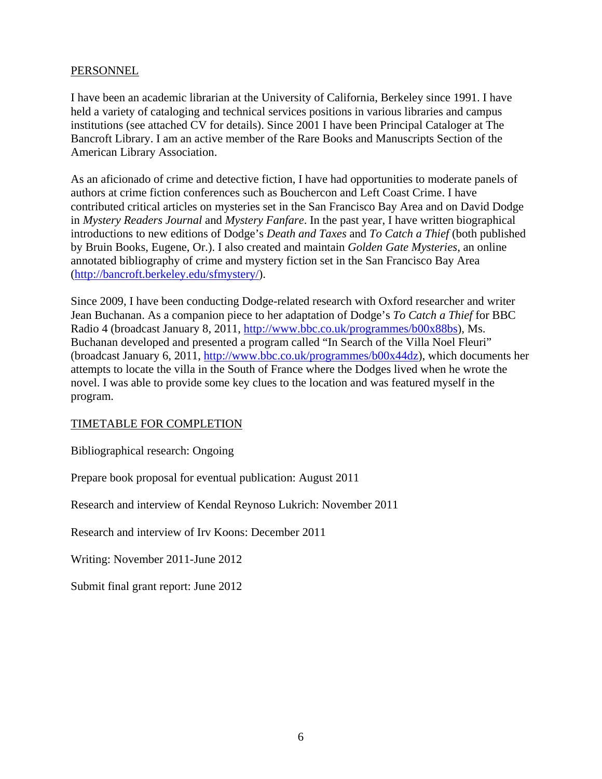#### PERSONNEL

I have been an academic librarian at the University of California, Berkeley since 1991. I have held a variety of cataloging and technical services positions in various libraries and campus institutions (see attached CV for details). Since 2001 I have been Principal Cataloger at The Bancroft Library. I am an active member of the Rare Books and Manuscripts Section of the American Library Association.

As an aficionado of crime and detective fiction, I have had opportunities to moderate panels of authors at crime fiction conferences such as Bouchercon and Left Coast Crime. I have contributed critical articles on mysteries set in the San Francisco Bay Area and on David Dodge in *Mystery Readers Journal* and *Mystery Fanfare*. In the past year, I have written biographical introductions to new editions of Dodge's *Death and Taxes* and *To Catch a Thief* (both published by Bruin Books, Eugene, Or.). I also created and maintain *Golden Gate Mysteries*, an online annotated bibliography of crime and mystery fiction set in the San Francisco Bay Area (http://bancroft.berkeley.edu/sfmystery/).

Since 2009, I have been conducting Dodge-related research with Oxford researcher and writer Jean Buchanan. As a companion piece to her adaptation of Dodge's *To Catch a Thief* for BBC Radio 4 (broadcast January 8, 2011, http://www.bbc.co.uk/programmes/b00x88bs), Ms. Buchanan developed and presented a program called "In Search of the Villa Noel Fleuri" (broadcast January 6, 2011, http://www.bbc.co.uk/programmes/b00x44dz), which documents her attempts to locate the villa in the South of France where the Dodges lived when he wrote the novel. I was able to provide some key clues to the location and was featured myself in the program.

#### TIMETABLE FOR COMPLETION

Bibliographical research: Ongoing

Prepare book proposal for eventual publication: August 2011

Research and interview of Kendal Reynoso Lukrich: November 2011

Research and interview of Irv Koons: December 2011

Writing: November 2011-June 2012

Submit final grant report: June 2012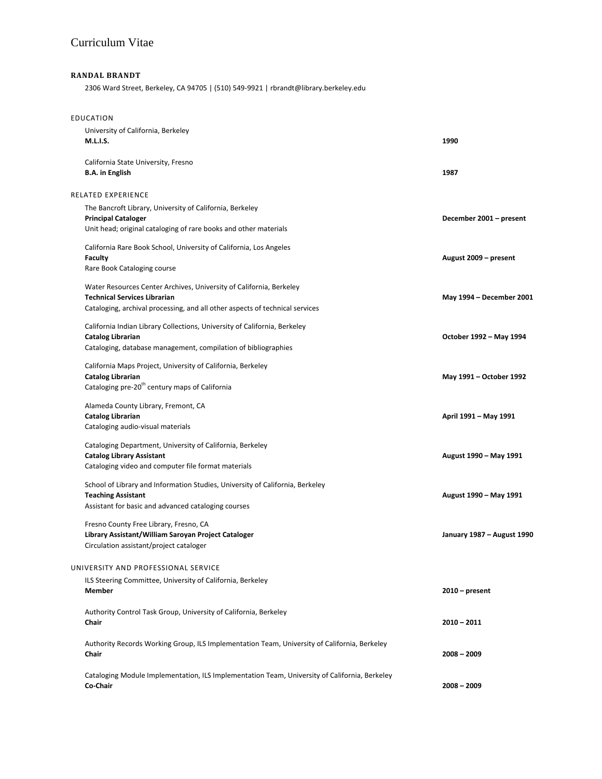#### **RANDAL BRANDT**

2306 Ward Street, Berkeley, CA 94705 | (510) 549‐9921 | rbrandt@library.berkeley.edu

#### EDUCATION

| University of California, Berkeley                                                                                                                                                         |                            |
|--------------------------------------------------------------------------------------------------------------------------------------------------------------------------------------------|----------------------------|
| <b>M.L.I.S.</b>                                                                                                                                                                            | 1990                       |
| California State University, Fresno<br><b>B.A.</b> in English                                                                                                                              | 1987                       |
| <b>RELATED EXPERIENCE</b>                                                                                                                                                                  |                            |
| The Bancroft Library, University of California, Berkeley<br><b>Principal Cataloger</b>                                                                                                     | December 2001 - present    |
| Unit head; original cataloging of rare books and other materials                                                                                                                           |                            |
| California Rare Book School, University of California, Los Angeles<br><b>Faculty</b><br>Rare Book Cataloging course                                                                        | August 2009 - present      |
| Water Resources Center Archives, University of California, Berkeley<br><b>Technical Services Librarian</b><br>Cataloging, archival processing, and all other aspects of technical services | May 1994 - December 2001   |
| California Indian Library Collections, University of California, Berkeley<br>Catalog Librarian<br>Cataloging, database management, compilation of bibliographies                           | October 1992 - May 1994    |
| California Maps Project, University of California, Berkeley<br><b>Catalog Librarian</b><br>Cataloging pre-20 <sup>th</sup> century maps of California                                      | May 1991 - October 1992    |
| Alameda County Library, Fremont, CA<br><b>Catalog Librarian</b><br>Cataloging audio-visual materials                                                                                       | April 1991 - May 1991      |
| Cataloging Department, University of California, Berkeley<br><b>Catalog Library Assistant</b><br>Cataloging video and computer file format materials                                       | August 1990 - May 1991     |
| School of Library and Information Studies, University of California, Berkeley<br><b>Teaching Assistant</b><br>Assistant for basic and advanced cataloging courses                          | August 1990 - May 1991     |
| Fresno County Free Library, Fresno, CA<br>Library Assistant/William Saroyan Project Cataloger<br>Circulation assistant/project cataloger                                                   | January 1987 - August 1990 |
| UNIVERSITY AND PROFESSIONAL SERVICE                                                                                                                                                        |                            |
| ILS Steering Committee, University of California, Berkeley<br>Member                                                                                                                       | $2010$ – present           |
| Authority Control Task Group, University of California, Berkeley<br>Chair                                                                                                                  | $2010 - 2011$              |
| Authority Records Working Group, ILS Implementation Team, University of California, Berkeley<br>Chair                                                                                      | $2008 - 2009$              |
| Cataloging Module Implementation, ILS Implementation Team, University of California, Berkeley<br>Co-Chair                                                                                  | $2008 - 2009$              |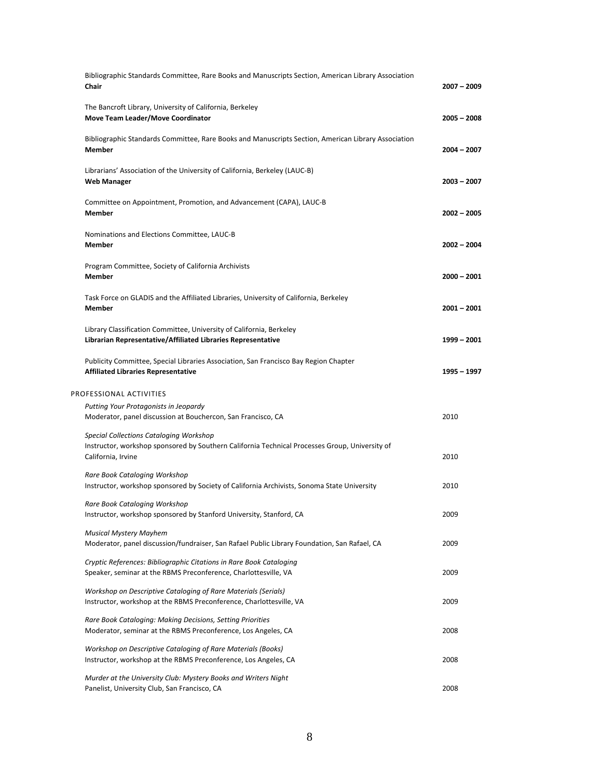| Bibliographic Standards Committee, Rare Books and Manuscripts Section, American Library Association<br>Chair                                                    | $2007 - 2009$ |
|-----------------------------------------------------------------------------------------------------------------------------------------------------------------|---------------|
| The Bancroft Library, University of California, Berkeley<br>Move Team Leader/Move Coordinator                                                                   | $2005 - 2008$ |
| Bibliographic Standards Committee, Rare Books and Manuscripts Section, American Library Association<br>Member                                                   | $2004 - 2007$ |
| Librarians' Association of the University of California, Berkeley (LAUC-B)<br><b>Web Manager</b>                                                                | $2003 - 2007$ |
| Committee on Appointment, Promotion, and Advancement (CAPA), LAUC-B<br>Member                                                                                   | $2002 - 2005$ |
| Nominations and Elections Committee, LAUC-B<br><b>Member</b>                                                                                                    | $2002 - 2004$ |
| Program Committee, Society of California Archivists<br><b>Member</b>                                                                                            | $2000 - 2001$ |
| Task Force on GLADIS and the Affiliated Libraries, University of California, Berkeley<br><b>Member</b>                                                          | $2001 - 2001$ |
| Library Classification Committee, University of California, Berkeley<br>Librarian Representative/Affiliated Libraries Representative                            | 1999 - 2001   |
| Publicity Committee, Special Libraries Association, San Francisco Bay Region Chapter<br><b>Affiliated Libraries Representative</b>                              | 1995 - 1997   |
| PROFESSIONAL ACTIVITIES                                                                                                                                         |               |
| Putting Your Protagonists in Jeopardy<br>Moderator, panel discussion at Bouchercon, San Francisco, CA                                                           | 2010          |
| Special Collections Cataloging Workshop<br>Instructor, workshop sponsored by Southern California Technical Processes Group, University of<br>California, Irvine | 2010          |
| Rare Book Cataloging Workshop<br>Instructor, workshop sponsored by Society of California Archivists, Sonoma State University                                    | 2010          |
| Rare Book Cataloging Workshop<br>Instructor, workshop sponsored by Stanford University, Stanford, CA                                                            | 2009          |
| <b>Musical Mystery Mayhem</b><br>Moderator, panel discussion/fundraiser, San Rafael Public Library Foundation, San Rafael, CA                                   | 2009          |
| Cryptic References: Bibliographic Citations in Rare Book Cataloging<br>Speaker, seminar at the RBMS Preconference, Charlottesville, VA                          | 2009          |
| Workshop on Descriptive Cataloging of Rare Materials (Serials)<br>Instructor, workshop at the RBMS Preconference, Charlottesville, VA                           | 2009          |
| Rare Book Cataloging: Making Decisions, Setting Priorities<br>Moderator, seminar at the RBMS Preconference, Los Angeles, CA                                     | 2008          |
| Workshop on Descriptive Cataloging of Rare Materials (Books)<br>Instructor, workshop at the RBMS Preconference, Los Angeles, CA                                 | 2008          |
| Murder at the University Club: Mystery Books and Writers Night<br>Panelist, University Club, San Francisco, CA                                                  | 2008          |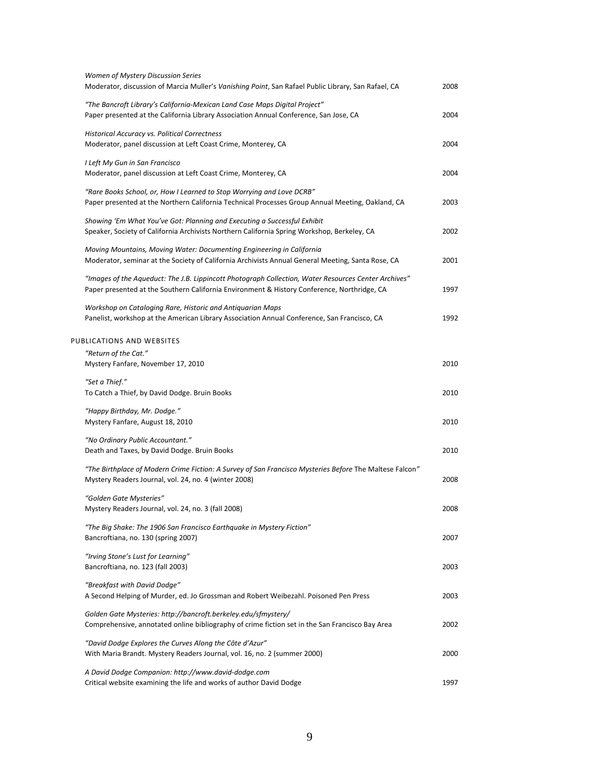| Women of Mystery Discussion Series<br>Moderator, discussion of Marcia Muller's Vanishing Point, San Rafael Public Library, San Rafael, CA                                                           | 2008 |
|-----------------------------------------------------------------------------------------------------------------------------------------------------------------------------------------------------|------|
| "The Bancroft Library's California-Mexican Land Case Maps Digital Project"<br>Paper presented at the California Library Association Annual Conference, San Jose, CA                                 | 2004 |
| Historical Accuracy vs. Political Correctness<br>Moderator, panel discussion at Left Coast Crime, Monterey, CA                                                                                      | 2004 |
| I Left My Gun in San Francisco<br>Moderator, panel discussion at Left Coast Crime, Monterey, CA                                                                                                     | 2004 |
| "Rare Books School, or, How I Learned to Stop Worrying and Love DCRB"<br>Paper presented at the Northern California Technical Processes Group Annual Meeting, Oakland, CA                           | 2003 |
| Showing 'Em What You've Got: Planning and Executing a Successful Exhibit<br>Speaker, Society of California Archivists Northern California Spring Workshop, Berkeley, CA                             | 2002 |
| Moving Mountains, Moving Water: Documenting Engineering in California<br>Moderator, seminar at the Society of California Archivists Annual General Meeting, Santa Rose, CA                          | 2001 |
| "Images of the Aqueduct: The J.B. Lippincott Photograph Collection, Water Resources Center Archives"<br>Paper presented at the Southern California Environment & History Conference, Northridge, CA | 1997 |
| Workshop on Cataloging Rare, Historic and Antiquarian Maps<br>Panelist, workshop at the American Library Association Annual Conference, San Francisco, CA                                           | 1992 |
| PUBLICATIONS AND WEBSITES                                                                                                                                                                           |      |
| "Return of the Cat."<br>Mystery Fanfare, November 17, 2010                                                                                                                                          | 2010 |
| "Set a Thief."<br>To Catch a Thief, by David Dodge. Bruin Books                                                                                                                                     | 2010 |
| "Happy Birthday, Mr. Dodge."<br>Mystery Fanfare, August 18, 2010                                                                                                                                    | 2010 |
| "No Ordinary Public Accountant."<br>Death and Taxes, by David Dodge. Bruin Books                                                                                                                    | 2010 |
| "The Birthplace of Modern Crime Fiction: A Survey of San Francisco Mysteries Before The Maltese Falcon"<br>Mystery Readers Journal, vol. 24, no. 4 (winter 2008)                                    | 2008 |
| "Golden Gate Mysteries"<br>Mystery Readers Journal, vol. 24, no. 3 (fall 2008)                                                                                                                      | 2008 |
| "The Big Shake: The 1906 San Francisco Earthquake in Mystery Fiction"<br>Bancroftiana, no. 130 (spring 2007)                                                                                        | 2007 |
| "Irving Stone's Lust for Learning"<br>Bancroftiana, no. 123 (fall 2003)                                                                                                                             | 2003 |
| "Breakfast with David Dodge"<br>A Second Helping of Murder, ed. Jo Grossman and Robert Weibezahl. Poisoned Pen Press                                                                                | 2003 |
| Golden Gate Mysteries: http://bancroft.berkeley.edu/sfmystery/<br>Comprehensive, annotated online bibliography of crime fiction set in the San Francisco Bay Area                                   | 2002 |
| "David Dodge Explores the Curves Along the Côte d'Azur"<br>With Maria Brandt. Mystery Readers Journal, vol. 16, no. 2 (summer 2000)                                                                 | 2000 |
| A David Dodge Companion: http://www.david-dodge.com<br>Critical website examining the life and works of author David Dodge                                                                          | 1997 |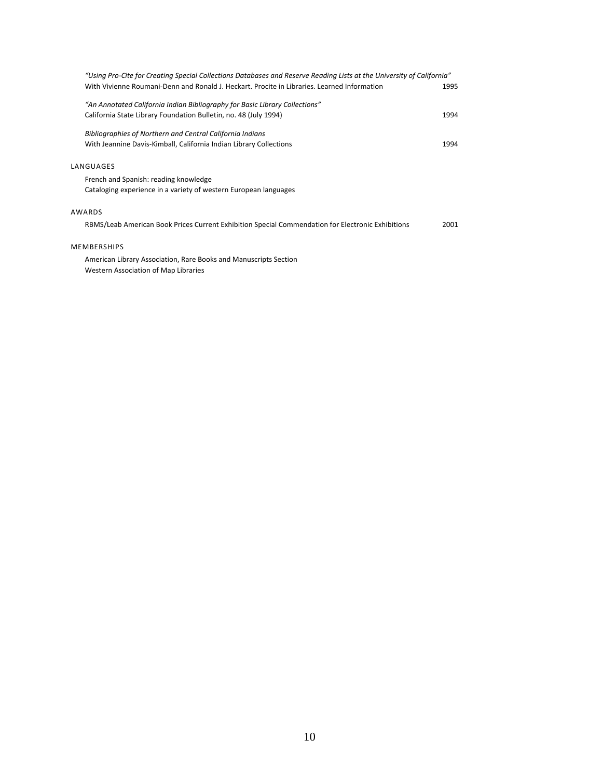| "Using Pro-Cite for Creating Special Collections Databases and Reserve Reading Lists at the University of California" |      |
|-----------------------------------------------------------------------------------------------------------------------|------|
| With Vivienne Roumani-Denn and Ronald J. Heckart, Procite in Libraries, Learned Information                           | 1995 |
| "An Annotated California Indian Bibliography for Basic Library Collections"                                           |      |
| California State Library Foundation Bulletin, no. 48 (July 1994)                                                      | 1994 |
| Bibliographies of Northern and Central California Indians                                                             |      |
| With Jeannine Davis-Kimball, California Indian Library Collections                                                    | 1994 |
| LANGUAGES                                                                                                             |      |
| French and Spanish: reading knowledge                                                                                 |      |
| Cataloging experience in a variety of western European languages                                                      |      |
| AWARDS                                                                                                                |      |
| RBMS/Leab American Book Prices Current Exhibition Special Commendation for Electronic Exhibitions                     | 2001 |
| <b>MEMBERSHIPS</b>                                                                                                    |      |

American Library Association, Rare Books and Manuscripts Section Western Association of Map Libraries